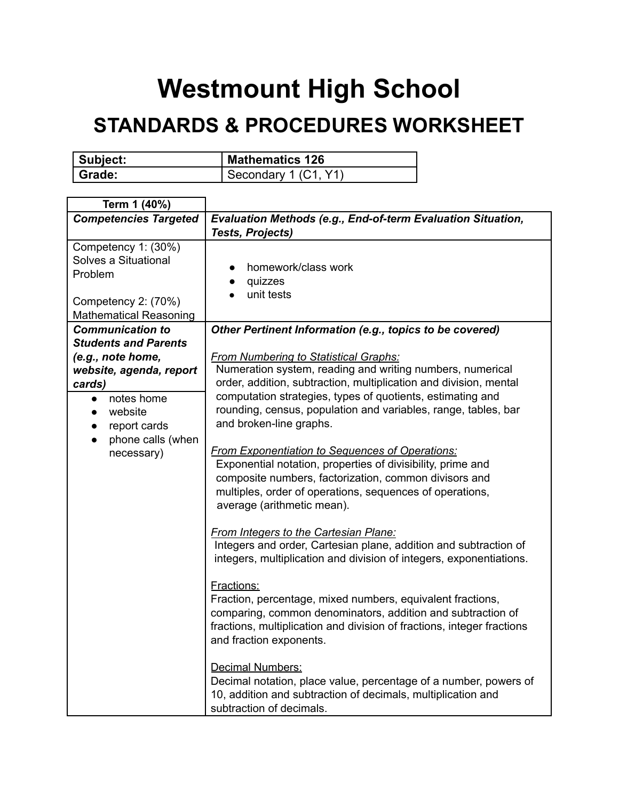## **Westmount High School**

## **STANDARDS & PROCEDURES WORKSHEET**

| Subject: | Mathematics 126      |
|----------|----------------------|
| Grade:   | Secondary 1 (C1, Y1) |

| Term 1 (40%)                                                |                                                                                                                              |
|-------------------------------------------------------------|------------------------------------------------------------------------------------------------------------------------------|
| <b>Competencies Targeted</b>                                | Evaluation Methods (e.g., End-of-term Evaluation Situation,                                                                  |
|                                                             | <b>Tests, Projects)</b>                                                                                                      |
| Competency 1: (30%)<br>Solves a Situational                 |                                                                                                                              |
| Problem                                                     | homework/class work                                                                                                          |
|                                                             | quizzes                                                                                                                      |
| Competency 2: (70%)                                         | unit tests                                                                                                                   |
| <b>Mathematical Reasoning</b>                               |                                                                                                                              |
| <b>Communication to</b>                                     | Other Pertinent Information (e.g., topics to be covered)                                                                     |
| <b>Students and Parents</b>                                 |                                                                                                                              |
| (e.g., note home,                                           | <b>From Numbering to Statistical Graphs:</b>                                                                                 |
| website, agenda, report                                     | Numeration system, reading and writing numbers, numerical                                                                    |
| cards)                                                      | order, addition, subtraction, multiplication and division, mental                                                            |
| notes home<br>$\bullet$                                     | computation strategies, types of quotients, estimating and<br>rounding, census, population and variables, range, tables, bar |
| website                                                     | and broken-line graphs.                                                                                                      |
| report cards<br>$\bullet$<br>phone calls (when<br>$\bullet$ |                                                                                                                              |
| necessary)                                                  | <b>From Exponentiation to Sequences of Operations:</b>                                                                       |
|                                                             | Exponential notation, properties of divisibility, prime and                                                                  |
|                                                             | composite numbers, factorization, common divisors and                                                                        |
|                                                             | multiples, order of operations, sequences of operations,                                                                     |
|                                                             | average (arithmetic mean).                                                                                                   |
|                                                             | <b>From Integers to the Cartesian Plane:</b>                                                                                 |
|                                                             | Integers and order, Cartesian plane, addition and subtraction of                                                             |
|                                                             | integers, multiplication and division of integers, exponentiations.                                                          |
|                                                             |                                                                                                                              |
|                                                             | Fractions:                                                                                                                   |
|                                                             | Fraction, percentage, mixed numbers, equivalent fractions,                                                                   |
|                                                             | comparing, common denominators, addition and subtraction of                                                                  |
|                                                             | fractions, multiplication and division of fractions, integer fractions                                                       |
|                                                             | and fraction exponents.                                                                                                      |
|                                                             | Decimal Numbers:                                                                                                             |
|                                                             | Decimal notation, place value, percentage of a number, powers of                                                             |
|                                                             | 10, addition and subtraction of decimals, multiplication and                                                                 |
|                                                             | subtraction of decimals.                                                                                                     |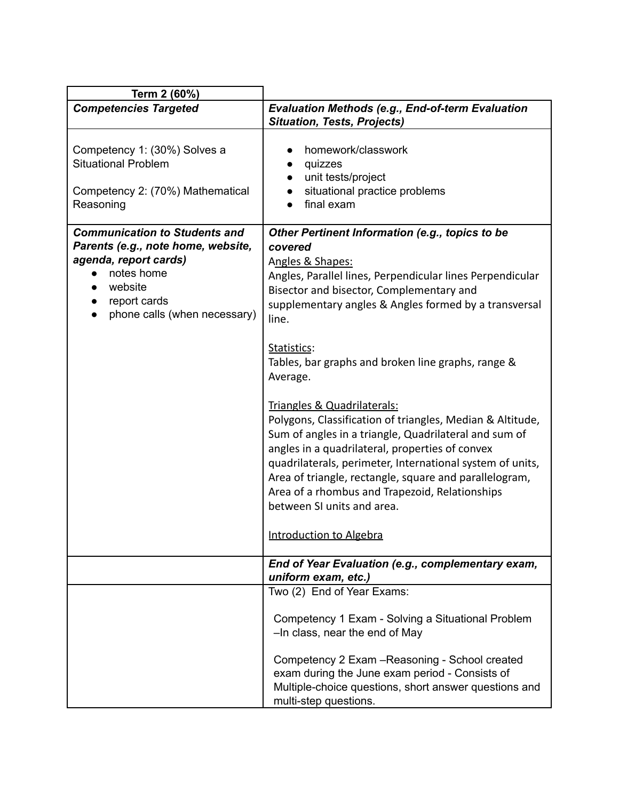| Term 2 (60%)                                                                                                                                                                 |                                                                                                                                                                                                                                                                                                                                                                                                             |
|------------------------------------------------------------------------------------------------------------------------------------------------------------------------------|-------------------------------------------------------------------------------------------------------------------------------------------------------------------------------------------------------------------------------------------------------------------------------------------------------------------------------------------------------------------------------------------------------------|
| <b>Competencies Targeted</b>                                                                                                                                                 | <b>Evaluation Methods (e.g., End-of-term Evaluation</b><br><b>Situation, Tests, Projects)</b>                                                                                                                                                                                                                                                                                                               |
| Competency 1: (30%) Solves a<br><b>Situational Problem</b><br>Competency 2: (70%) Mathematical<br>Reasoning                                                                  | homework/classwork<br>quizzes<br>unit tests/project<br>situational practice problems<br>final exam                                                                                                                                                                                                                                                                                                          |
| <b>Communication to Students and</b><br>Parents (e.g., note home, website,<br>agenda, report cards)<br>notes home<br>website<br>report cards<br>phone calls (when necessary) | Other Pertinent Information (e.g., topics to be<br>covered<br>Angles & Shapes:<br>Angles, Parallel lines, Perpendicular lines Perpendicular<br>Bisector and bisector, Complementary and<br>supplementary angles & Angles formed by a transversal<br>line.                                                                                                                                                   |
|                                                                                                                                                                              | Statistics:<br>Tables, bar graphs and broken line graphs, range &<br>Average.                                                                                                                                                                                                                                                                                                                               |
|                                                                                                                                                                              | Triangles & Quadrilaterals:<br>Polygons, Classification of triangles, Median & Altitude,<br>Sum of angles in a triangle, Quadrilateral and sum of<br>angles in a quadrilateral, properties of convex<br>quadrilaterals, perimeter, International system of units,<br>Area of triangle, rectangle, square and parallelogram,<br>Area of a rhombus and Trapezoid, Relationships<br>between SI units and area. |
|                                                                                                                                                                              | Introduction to Algebra                                                                                                                                                                                                                                                                                                                                                                                     |
|                                                                                                                                                                              | End of Year Evaluation (e.g., complementary exam,<br>uniform exam, etc.)                                                                                                                                                                                                                                                                                                                                    |
|                                                                                                                                                                              | Two (2) End of Year Exams:<br>Competency 1 Exam - Solving a Situational Problem<br>-In class, near the end of May<br>Competency 2 Exam - Reasoning - School created<br>exam during the June exam period - Consists of<br>Multiple-choice questions, short answer questions and<br>multi-step questions.                                                                                                     |